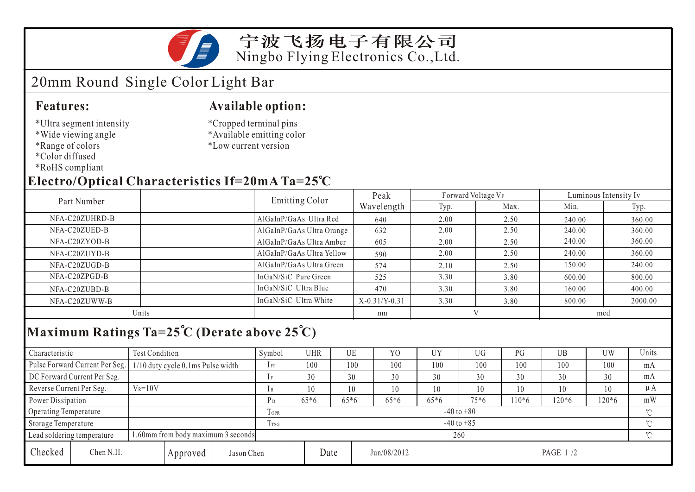

#### 宁波飞扬电子有限公司 Ningbo Flying Electronics Co.,Ltd.

## 20mm Round Single Color Light Bar

#### **Features:**

- \*Ultra segment intensity
- \*Wide viewing angle
- \*Range of colors
- \*Color diffused
- \*RoHS compliant

#### **Available option:**

\*Cropped terminal pins \*Available emitting color \*Low current version

### **Electro/Optical Characteristics If=20mA Ta=25 C**

| Part Number    | <b>Emitting Color</b>     | Peak            | Forward Voltage VF |      | Luminous Intensity Iv |         |  |
|----------------|---------------------------|-----------------|--------------------|------|-----------------------|---------|--|
|                |                           | Wavelength      | Typ.               | Max. | Min.                  | Typ.    |  |
| NFA-C20ZUHRD-B | AlGaInP/GaAs Ultra Red    | 640             | 2.00               | 2.50 | 240.00                | 360.00  |  |
| NFA-C20ZUED-B  | AlGaInP/GaAs Ultra Orange | 632             | 2.00               | 2.50 | 240.00                | 360.00  |  |
| NFA-C20ZYOD-B  | AlGaInP/GaAs Ultra Amber  | 605             | 2.00               | 2.50 | 240.00                | 360.00  |  |
| NFA-C20ZUYD-B  | AlGaInP/GaAs Ultra Yellow | 590             | 2.00               | 2.50 | 240.00                | 360.00  |  |
| NFA-C20ZUGD-B  | AlGaInP/GaAs Ultra Green  | 574             | 2.10               | 2.50 | 150.00                | 240.00  |  |
| NFA-C20ZPGD-B  | InGaN/SiC Pure Green      | 525             | 3.30               | 3.80 | 600.00                | 800.00  |  |
| NFA-C20ZUBD-B  | InGaN/SiC Ultra Blue      | 470             | 3.30               | 3.80 | 160.00                | 400.00  |  |
| NFA-C20ZUWW-B  | InGaN/SiC Ultra White     | $X-0.31/Y-0.31$ | 3.30               | 3.80 | 800.00                | 2000.00 |  |
| Units          |                           | nm              |                    |      | mcd                   |         |  |
|                |                           |                 |                    |      |                       |         |  |

# **Maximum Ratings Ta=25 C (Derate above 25 C)**

| Characteristic                                                   |                                     | Test Condition                    |       |                | Symbol              | <b>UHR</b> |        | UE       | Y <sub>0</sub> | UY     | UG      | PG       | UB  | UW  | Units   |
|------------------------------------------------------------------|-------------------------------------|-----------------------------------|-------|----------------|---------------------|------------|--------|----------|----------------|--------|---------|----------|-----|-----|---------|
|                                                                  | Pulse Forward Current Per Seg.      | 1/10 duty cycle 0.1ms Pulse width |       |                | $1$ FP              | 100        |        | 100      | 100            | 100    | 100     | 100      | 100 | 100 | mA      |
| DC Forward Current Per Seg.                                      |                                     |                                   | 1F    | 30             |                     | 30         | 30     | 30       | 30             | 30     | 30      | 30       | mA  |     |         |
| Reverse Current Per Seg.                                         |                                     | $V_R = 10V$                       |       |                | 1 R                 | 10         |        | 10       | 10             | 10     | 10      | 10       | 10  | 10  | $\mu A$ |
| Power Dissipation                                                |                                     |                                   | $P_D$ | $65*6$         | $65*6$              |            | $65*6$ | $65*6$   | $75*6$         | $10*6$ | $120*6$ | 120*6    | mW  |     |         |
| Operating Temperature                                            |                                     | m<br><b>LOPR</b>                  |       | $-40$ to $+80$ |                     |            |        |          |                |        |         | $\gamma$ |     |     |         |
| Storage Temperature                                              |                                     | Trsg                              |       | $-40$ to $+85$ |                     |            |        |          |                |        |         | $\gamma$ |     |     |         |
| 1.60mm from body maximum 3 seconds<br>Lead soldering temperature |                                     |                                   |       | 260            |                     |            |        |          |                |        |         |          |     |     |         |
| Checked                                                          | Chen N.H.<br>Jason Chen<br>Approved |                                   |       |                | Date<br>Jun/08/2012 |            |        | PAGE 1/2 |                |        |         |          |     |     |         |